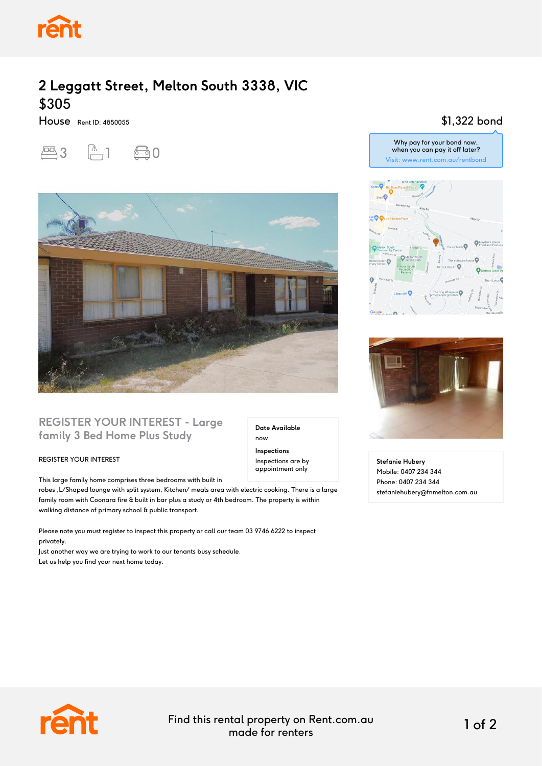

# **2 Leggatt Street, Melton South 3338, VIC** \$305

House Rent ID: 4850055





## **REGISTER YOUR INTEREST - Large family 3 Bed Home Plus Study**

#### REGISTER YOUR INTEREST

This large family home comprises three bedrooms with built in

robes ,L/Shaped lounge with split system, Kitchen/ meals area with electric cooking. There is a large family room with Coonara fire & built in bar plus a study or 4th bedroom. The property is within walking distance of primary school & public transport.

Please note you must register to inspect this property or call our team 03 9746 6222 to inspect privately.

Just another way we are trying to work to our tenants busy schedule. Let us help you find your next home today.

**Date Available** now **Inspections** Inspections are by

appointment only

\$1,322 bond Why pay for your bond now,



when you can pay it off later? Visit: www.rent.com.au/rentbond



**Stefanie Hubery** Mobile: 0407 234 344 Phone: 0407 234 344 stefaniehubery@fnmelton.com.au